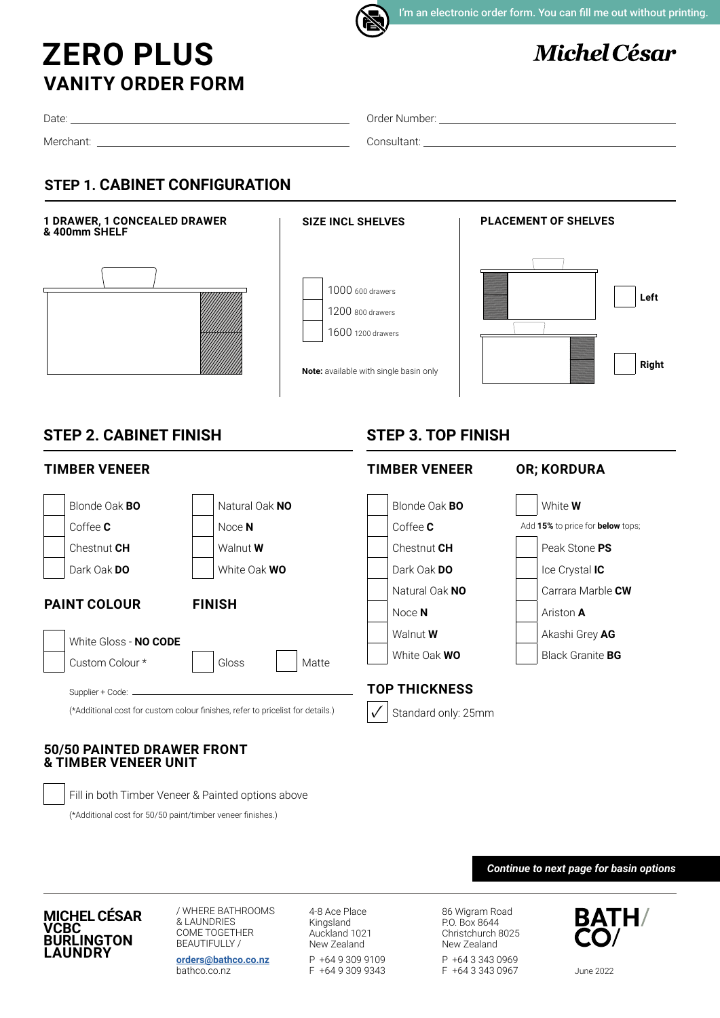

I'm an electronic order form. You can fill me out without printing.

# **Michel César**

## **VANITY ORDER FORM ZERO PLUS**

Date:

Merchant:

Order Number:

Consultant:

## **STEP 1. CABINET CONFIGURATION**



## **50/50 PAINTED DRAWER FRONT & TIMBER VENEER UNIT**

Fill in both Timber Veneer & Painted options above

(\*Additional cost for 50/50 paint/timber veneer finishes.)

#### *Continue to next page for basin options*

#### **MICHEL CÉSAR VCBC BURLINGTON LAUNDRY**

/ WHERE BATHROOMS & LAUNDRIES COME TOGETHER BEAUTIFULLY /

**[orders@bathco.co.nz](mailto:orders%40bathco.co.nz%0D?subject=Order%20Form)** bathco.co.nz

4-8 Ace Place Kingsland Auckland 1021 New Zealand P +64 9 309 9109 F +64 9 309 9343

86 Wigram Road P.O. Box 8644 Christchurch 8025 New Zealand P +64 3 343 0969 F +64 3 343 0967

**BATH/** 

June 2022